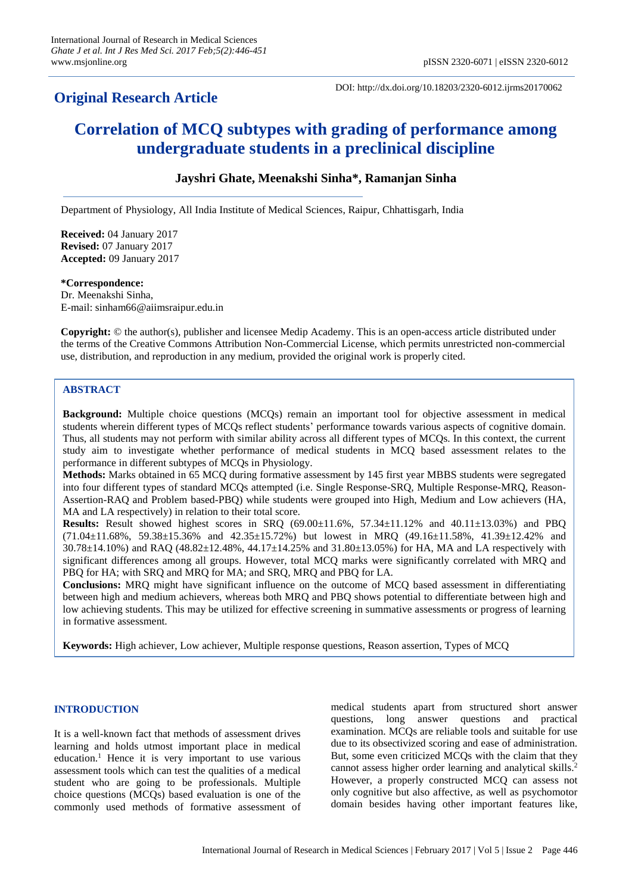# **Original Research Article**

DOI: http://dx.doi.org/10.18203/2320-6012.ijrms20170062

# **Correlation of MCQ subtypes with grading of performance among undergraduate students in a preclinical discipline**

# **Jayshri Ghate, Meenakshi Sinha\*, Ramanjan Sinha**

Department of Physiology, All India Institute of Medical Sciences, Raipur, Chhattisgarh, India

**Received:** 04 January 2017 **Revised:** 07 January 2017 **Accepted:** 09 January 2017

#### **\*Correspondence:**

Dr. Meenakshi Sinha, E-mail: sinham66@aiimsraipur.edu.in

**Copyright:** © the author(s), publisher and licensee Medip Academy. This is an open-access article distributed under the terms of the Creative Commons Attribution Non-Commercial License, which permits unrestricted non-commercial use, distribution, and reproduction in any medium, provided the original work is properly cited.

# **ABSTRACT**

**Background:** Multiple choice questions (MCQs) remain an important tool for objective assessment in medical students wherein different types of MCQs reflect students' performance towards various aspects of cognitive domain. Thus, all students may not perform with similar ability across all different types of MCQs. In this context, the current study aim to investigate whether performance of medical students in MCQ based assessment relates to the performance in different subtypes of MCQs in Physiology.

**Methods:** Marks obtained in 65 MCQ during formative assessment by 145 first year MBBS students were segregated into four different types of standard MCQs attempted (i.e. Single Response-SRQ, Multiple Response-MRQ, Reason-Assertion-RAQ and Problem based-PBQ) while students were grouped into High, Medium and Low achievers (HA, MA and LA respectively) in relation to their total score.

**Results:** Result showed highest scores in SRQ (69.00±11.6%, 57.34±11.12% and 40.11±13.03%) and PBQ  $(71.04\pm11.68\%$ , 59.38 $\pm15.36\%$  and 42.35 $\pm15.72\%$ ) but lowest in MRQ (49.16 $\pm11.58\%$ , 41.39 $\pm12.42\%$  and 30.78±14.10%) and RAQ (48.82±12.48%, 44.17±14.25% and 31.80±13.05%) for HA, MA and LA respectively with significant differences among all groups. However, total MCQ marks were significantly correlated with MRQ and PBQ for HA; with SRQ and MRQ for MA; and SRQ, MRQ and PBQ for LA.

**Conclusions:** MRQ might have significant influence on the outcome of MCQ based assessment in differentiating between high and medium achievers, whereas both MRQ and PBQ shows potential to differentiate between high and low achieving students. This may be utilized for effective screening in summative assessments or progress of learning in formative assessment.

**Keywords:** High achiever, Low achiever, Multiple response questions, Reason assertion, Types of MCQ

#### **INTRODUCTION**

It is a well-known fact that methods of assessment drives learning and holds utmost important place in medical education. <sup>1</sup> Hence it is very important to use various assessment tools which can test the qualities of a medical student who are going to be professionals. Multiple choice questions (MCQs) based evaluation is one of the commonly used methods of formative assessment of medical students apart from structured short answer questions, long answer questions and practical examination. MCQs are reliable tools and suitable for use due to its obsectivized scoring and ease of administration. But, some even criticized MCQs with the claim that they cannot assess higher order learning and analytical skills. 2 However, a properly constructed MCQ can assess not only cognitive but also affective, as well as psychomotor domain besides having other important features like,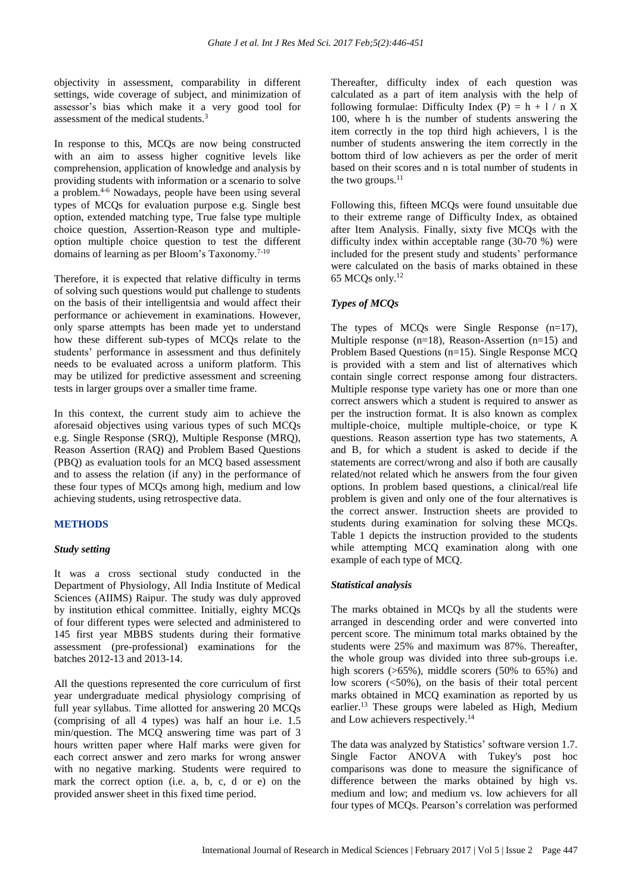objectivity in assessment, comparability in different settings, wide coverage of subject, and minimization of assessor's bias which make it a very good tool for assessment of the medical students. 3

In response to this, MCQs are now being constructed with an aim to assess higher cognitive levels like comprehension, application of knowledge and analysis by providing students with information or a scenario to solve a problem. 4-6 Nowadays, people have been using several types of MCQs for evaluation purpose e.g. Single best option, extended matching type, True false type multiple choice question, Assertion-Reason type and multipleoption multiple choice question to test the different domains of learning as per Bloom's Taxonomy.7-10

Therefore, it is expected that relative difficulty in terms of solving such questions would put challenge to students on the basis of their intelligentsia and would affect their performance or achievement in examinations. However, only sparse attempts has been made yet to understand how these different sub-types of MCQs relate to the students' performance in assessment and thus definitely needs to be evaluated across a uniform platform. This may be utilized for predictive assessment and screening tests in larger groups over a smaller time frame.

In this context, the current study aim to achieve the aforesaid objectives using various types of such MCQs e.g. Single Response (SRQ), Multiple Response (MRQ), Reason Assertion (RAQ) and Problem Based Questions (PBQ) as evaluation tools for an MCQ based assessment and to assess the relation (if any) in the performance of these four types of MCQs among high, medium and low achieving students, using retrospective data.

# **METHODS**

# *Study setting*

It was a cross sectional study conducted in the Department of Physiology, All India Institute of Medical Sciences (AIIMS) Raipur. The study was duly approved by institution ethical committee. Initially, eighty MCQs of four different types were selected and administered to 145 first year MBBS students during their formative assessment (pre-professional) examinations for the batches 2012-13 and 2013-14.

All the questions represented the core curriculum of first year undergraduate medical physiology comprising of full year syllabus. Time allotted for answering 20 MCQs (comprising of all 4 types) was half an hour i.e. 1.5 min/question. The MCQ answering time was part of 3 hours written paper where Half marks were given for each correct answer and zero marks for wrong answer with no negative marking. Students were required to mark the correct option (i.e. a, b, c, d or e) on the provided answer sheet in this fixed time period.

Thereafter, difficulty index of each question was calculated as a part of item analysis with the help of following formulae: Difficulty Index (P) =  $h + 1/nX$ 100, where h is the number of students answering the item correctly in the top third high achievers, l is the number of students answering the item correctly in the bottom third of low achievers as per the order of merit based on their scores and n is total number of students in the two groups. 11

Following this, fifteen MCQs were found unsuitable due to their extreme range of Difficulty Index, as obtained after Item Analysis. Finally, sixty five MCQs with the difficulty index within acceptable range (30-70 %) were included for the present study and students' performance were calculated on the basis of marks obtained in these 65 MCQs only.<sup>12</sup>

# *Types of MCQs*

The types of MCQs were Single Response (n=17), Multiple response (n=18), Reason-Assertion (n=15) and Problem Based Questions (n=15). Single Response MCQ is provided with a stem and list of alternatives which contain single correct response among four distracters. Multiple response type variety has one or more than one correct answers which a student is required to answer as per the instruction format. It is also known as complex multiple-choice, multiple multiple-choice, or type K questions. Reason assertion type has two statements, A and B, for which a student is asked to decide if the statements are correct/wrong and also if both are causally related/not related which he answers from the four given options. In problem based questions, a clinical/real life problem is given and only one of the four alternatives is the correct answer. Instruction sheets are provided to students during examination for solving these MCQs. Table 1 depicts the instruction provided to the students while attempting MCQ examination along with one example of each type of MCQ.

# *Statistical analysis*

The marks obtained in MCQs by all the students were arranged in descending order and were converted into percent score. The minimum total marks obtained by the students were 25% and maximum was 87%. Thereafter, the whole group was divided into three sub-groups i.e. high scorers ( $>65\%$ ), middle scorers (50% to 65%) and low scorers (<50%), on the basis of their total percent marks obtained in MCQ examination as reported by us earlier. <sup>13</sup> These groups were labeled as High, Medium and Low achievers respectively. 14

The data was analyzed by Statistics' software version 1.7. Single Factor ANOVA with Tukey's post hoc comparisons was done to measure the significance of difference between the marks obtained by high vs. medium and low; and medium vs. low achievers for all four types of MCQs. Pearson's correlation was performed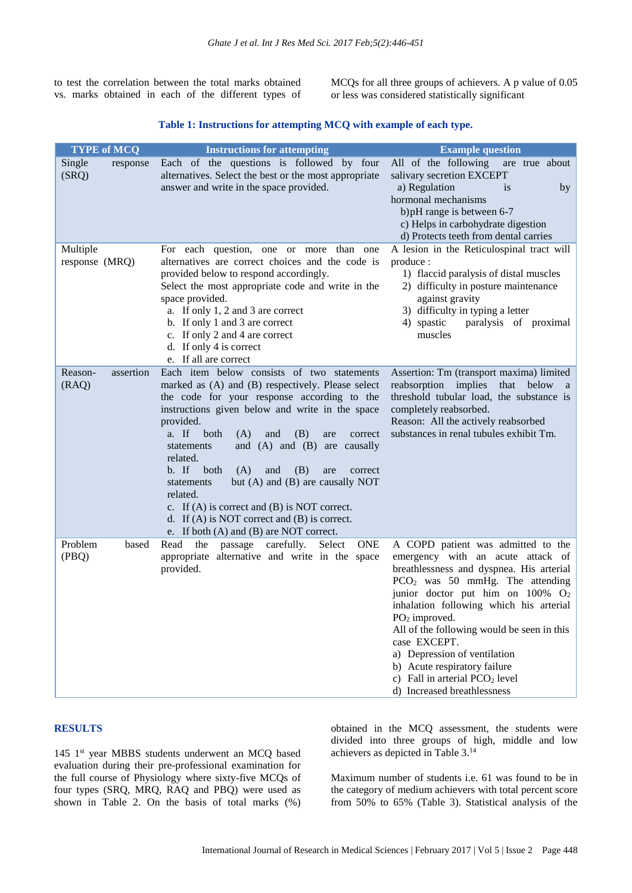to test the correlation between the total marks obtained vs. marks obtained in each of the different types of MCQs for all three groups of achievers. A p value of 0.05 or less was considered statistically significant

# **Table 1: Instructions for attempting MCQ with example of each type.**

| <b>TYPE of MCQ</b>            | <b>Instructions for attempting</b>                                                                                                                                                                                                                                                                                                                                                                                                                                                                                                                                                                                   | <b>Example question</b>                                                                                                                                                                                                                                                                                                                                                                                                                                                              |
|-------------------------------|----------------------------------------------------------------------------------------------------------------------------------------------------------------------------------------------------------------------------------------------------------------------------------------------------------------------------------------------------------------------------------------------------------------------------------------------------------------------------------------------------------------------------------------------------------------------------------------------------------------------|--------------------------------------------------------------------------------------------------------------------------------------------------------------------------------------------------------------------------------------------------------------------------------------------------------------------------------------------------------------------------------------------------------------------------------------------------------------------------------------|
| Single<br>response<br>(SRQ)   | Each of the questions is followed by four<br>alternatives. Select the best or the most appropriate<br>answer and write in the space provided.                                                                                                                                                                                                                                                                                                                                                                                                                                                                        | All of the following<br>are true about<br>salivary secretion EXCEPT<br>a) Regulation<br><i>is</i><br>by<br>hormonal mechanisms<br>b) pH range is between 6-7<br>c) Helps in carbohydrate digestion<br>d) Protects teeth from dental carries                                                                                                                                                                                                                                          |
| Multiple<br>response (MRQ)    | For each question, one or more<br>than one<br>alternatives are correct choices and the code is<br>provided below to respond accordingly.<br>Select the most appropriate code and write in the<br>space provided.<br>a. If only 1, 2 and 3 are correct<br>b. If only 1 and 3 are correct<br>c. If only 2 and 4 are correct<br>d. If only 4 is correct<br>e. If all are correct                                                                                                                                                                                                                                        | A lesion in the Reticulospinal tract will<br>produce:<br>1) flaccid paralysis of distal muscles<br>2) difficulty in posture maintenance<br>against gravity<br>3) difficulty in typing a letter<br>4) spastic<br>paralysis of proximal<br>muscles                                                                                                                                                                                                                                     |
| Reason-<br>assertion<br>(RAQ) | Each item below consists of two statements<br>marked as (A) and (B) respectively. Please select<br>the code for your response according to the<br>instructions given below and write in the space<br>provided.<br>a. If<br>both<br>(A)<br>and<br>(B)<br>are<br>correct<br>and $(A)$ and $(B)$ are<br>causally<br>statements<br>related.<br>b. If<br>both<br>(A)<br>and<br>(B)<br>are<br>correct<br>but (A) and (B) are causally NOT<br>statements<br>related.<br>c. If $(A)$ is correct and $(B)$ is NOT correct.<br>d. If $(A)$ is NOT correct and $(B)$ is correct.<br>e. If both $(A)$ and $(B)$ are NOT correct. | Assertion: Tm (transport maxima) limited<br>reabsorption<br>implies<br>below a<br>that<br>threshold tubular load, the substance is<br>completely reabsorbed.<br>Reason: All the actively reabsorbed<br>substances in renal tubules exhibit Tm.                                                                                                                                                                                                                                       |
| Problem<br>based<br>(PBQ)     | Read<br>the<br>passage carefully. Select<br><b>ONE</b><br>appropriate alternative and write in the space<br>provided.                                                                                                                                                                                                                                                                                                                                                                                                                                                                                                | A COPD patient was admitted to the<br>emergency with an acute attack of<br>breathlessness and dyspnea. His arterial<br>$PCO2$ was 50 mmHg. The attending<br>junior doctor put him on $100\%$ O <sub>2</sub><br>inhalation following which his arterial<br>PO <sub>2</sub> improved.<br>All of the following would be seen in this<br>case EXCEPT.<br>a) Depression of ventilation<br>b) Acute respiratory failure<br>c) Fall in arterial $PCO2$ level<br>d) Increased breathlessness |

#### **RESULTS**

145 1<sup>st</sup> year MBBS students underwent an MCQ based evaluation during their pre-professional examination for the full course of Physiology where sixty-five MCQs of four types (SRQ, MRQ, RAQ and PBQ) were used as shown in Table 2. On the basis of total marks (%) obtained in the MCQ assessment, the students were divided into three groups of high, middle and low achievers as depicted in Table 3. 14

Maximum number of students i.e. 61 was found to be in the category of medium achievers with total percent score from 50% to 65% (Table 3). Statistical analysis of the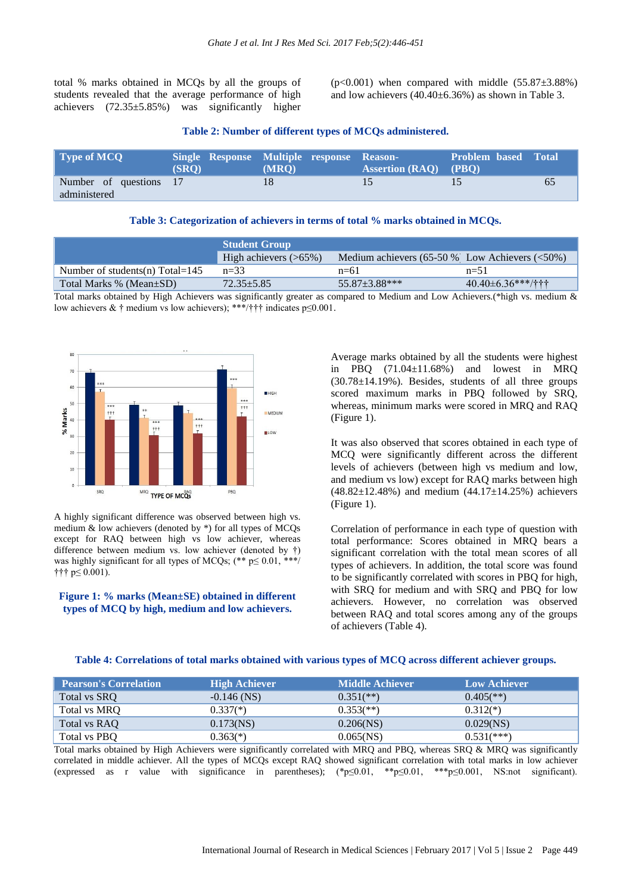total % marks obtained in MCQs by all the groups of students revealed that the average performance of high achievers (72.35±5.85%) was significantly higher

 $(p<0.001)$  when compared with middle  $(55.87\pm3.88\%)$ and low achievers (40.40±6.36%) as shown in Table 3.

#### **Table 2: Number of different types of MCQs administered.**

| <b>Type of MCO</b>                     | (SRO) | Single Response Multiple response Reason-<br>(MRO) | <b>Assertion (RAO)</b> (PBO) | <b>Problem based Total</b> |    |
|----------------------------------------|-------|----------------------------------------------------|------------------------------|----------------------------|----|
| Number of questions 17<br>administered |       |                                                    |                              |                            | 65 |

#### **Table 3: Categorization of achievers in terms of total % marks obtained in MCQs.**

|                                   | <b>Student Group</b>     |                                                     |                                            |  |
|-----------------------------------|--------------------------|-----------------------------------------------------|--------------------------------------------|--|
|                                   | High achievers $($ >65%) | Medium achievers $(65-50\%$ Low Achievers $(<50\%)$ |                                            |  |
| Number of students(n) $Total=145$ | $n = 33$                 | $n=61$                                              | $n=51$                                     |  |
| Total Marks % (Mean±SD)           | $72.35 + 5.85$           | $55.87 \pm 3.88$ ***                                | $40.40\pm6.36***/\uparrow\uparrow\uparrow$ |  |
|                                   | $\cdots$                 |                                                     |                                            |  |

Total marks obtained by High Achievers was significantly greater as compared to Medium and Low Achievers.(\*high vs. medium & low achievers & † medium vs low achievers); \*\*\*/††† indicates  $p \le 0.001$ .



A highly significant difference was observed between high vs. medium & low achievers (denoted by \*) for all types of MCQs except for RAQ between high vs low achiever, whereas difference between medium vs. low achiever (denoted by †) was highly significant for all types of MCQs; (\*\* p≤ 0.01, \*\*\*/ ††† p≤ 0.001).

#### **Figure 1: % marks (Mean±SE) obtained in different types of MCQ by high, medium and low achievers.**

Average marks obtained by all the students were highest in PBQ (71.04±11.68%) and lowest in MRQ  $(30.78 \pm 14.19\%)$ . Besides, students of all three groups scored maximum marks in PBQ followed by SRQ, whereas, minimum marks were scored in MRQ and RAQ (Figure 1).

It was also observed that scores obtained in each type of MCQ were significantly different across the different levels of achievers (between high vs medium and low, and medium vs low) except for RAQ marks between high  $(48.82 \pm 12.48\%)$  and medium  $(44.17 \pm 14.25\%)$  achievers (Figure 1).

Correlation of performance in each type of question with total performance: Scores obtained in MRQ bears a significant correlation with the total mean scores of all types of achievers. In addition, the total score was found to be significantly correlated with scores in PBQ for high, with SRQ for medium and with SRQ and PBQ for low achievers. However, no correlation was observed between RAQ and total scores among any of the groups of achievers (Table 4).

#### **Table 4: Correlations of total marks obtained with various types of MCQ across different achiever groups.**

| <b>'Pearson's Correlation</b> | <b>High Achiever</b> | Middle Achiever           | <b>Low Achiever</b>     |
|-------------------------------|----------------------|---------------------------|-------------------------|
| Total vs SRQ                  | $-0.146$ (NS)        | $0.351$ <sup>(**)</sup> ) | $0.405$ <sup>**</sup> ) |
| Total vs MRQ                  | $0.337(*)$           | $0.353$ <sup>(**)</sup> ) | $0.312(*)$              |
| Total vs RAQ                  | $0.173$ (NS)         | 0.206(NS)                 | 0.029(NS)               |
| Total vs PBQ                  | $0.363(*)$           | $0.065$ (NS)              | $0.531$ (***)           |

Total marks obtained by High Achievers were significantly correlated with MRQ and PBQ, whereas SRQ & MRQ was significantly correlated in middle achiever. All the types of MCQs except RAQ showed significant correlation with total marks in low achiever (expressed as r value with significance in parentheses); (\*p≤0.01, \*\*p≤0.01, \*\*\*p≤0.001, NS:not significant).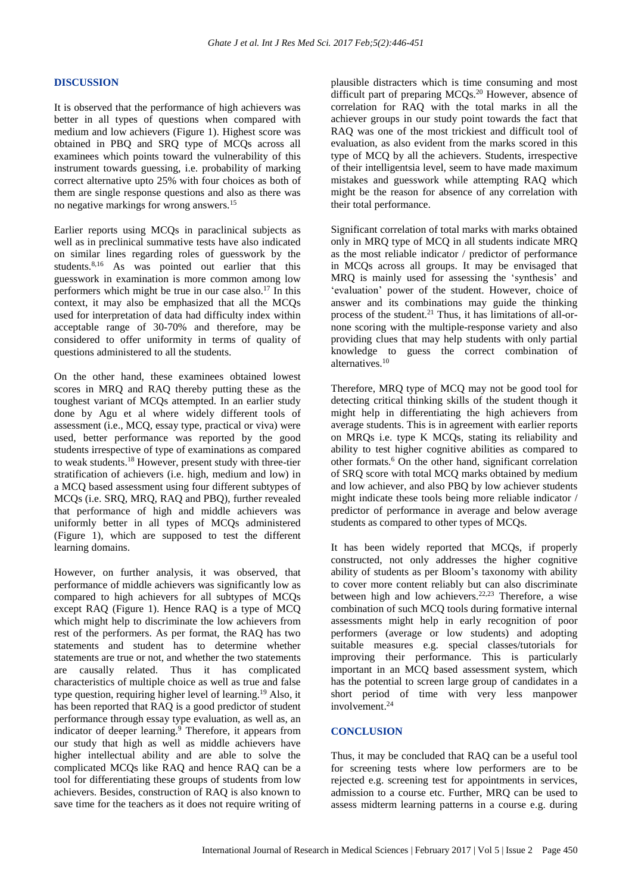#### **DISCUSSION**

It is observed that the performance of high achievers was better in all types of questions when compared with medium and low achievers (Figure 1). Highest score was obtained in PBQ and SRQ type of MCQs across all examinees which points toward the vulnerability of this instrument towards guessing, i.e. probability of marking correct alternative upto 25% with four choices as both of them are single response questions and also as there was no negative markings for wrong answers.<sup>15</sup>

Earlier reports using MCQs in paraclinical subjects as well as in preclinical summative tests have also indicated on similar lines regarding roles of guesswork by the students.<sup>8,16</sup> As was pointed out earlier that this guesswork in examination is more common among low performers which might be true in our case also.<sup>17</sup> In this context, it may also be emphasized that all the MCQs used for interpretation of data had difficulty index within acceptable range of 30-70% and therefore, may be considered to offer uniformity in terms of quality of questions administered to all the students.

On the other hand, these examinees obtained lowest scores in MRQ and RAQ thereby putting these as the toughest variant of MCQs attempted. In an earlier study done by Agu et al where widely different tools of assessment (i.e., MCQ, essay type, practical or viva) were used, better performance was reported by the good students irrespective of type of examinations as compared to weak students. <sup>18</sup> However, present study with three-tier stratification of achievers (i.e. high, medium and low) in a MCQ based assessment using four different subtypes of MCQs (i.e. SRQ, MRQ, RAQ and PBQ), further revealed that performance of high and middle achievers was uniformly better in all types of MCQs administered (Figure 1), which are supposed to test the different learning domains.

However, on further analysis, it was observed, that performance of middle achievers was significantly low as compared to high achievers for all subtypes of MCQs except RAQ (Figure 1). Hence RAQ is a type of MCQ which might help to discriminate the low achievers from rest of the performers. As per format, the RAQ has two statements and student has to determine whether statements are true or not, and whether the two statements are causally related. Thus it has complicated characteristics of multiple choice as well as true and false type question, requiring higher level of learning. <sup>19</sup> Also, it has been reported that RAQ is a good predictor of student performance through essay type evaluation, as well as, an indicator of deeper learning. <sup>9</sup> Therefore, it appears from our study that high as well as middle achievers have higher intellectual ability and are able to solve the complicated MCQs like RAQ and hence RAQ can be a tool for differentiating these groups of students from low achievers. Besides, construction of RAQ is also known to save time for the teachers as it does not require writing of plausible distracters which is time consuming and most difficult part of preparing MCQs. <sup>20</sup> However, absence of correlation for RAQ with the total marks in all the achiever groups in our study point towards the fact that RAQ was one of the most trickiest and difficult tool of evaluation, as also evident from the marks scored in this type of MCQ by all the achievers. Students, irrespective of their intelligentsia level, seem to have made maximum mistakes and guesswork while attempting RAQ which might be the reason for absence of any correlation with their total performance.

Significant correlation of total marks with marks obtained only in MRQ type of MCQ in all students indicate MRQ as the most reliable indicator / predictor of performance in MCQs across all groups. It may be envisaged that MRQ is mainly used for assessing the 'synthesis' and 'evaluation' power of the student. However, choice of answer and its combinations may guide the thinking process of the student. <sup>21</sup> Thus, it has limitations of all-ornone scoring with the multiple-response variety and also providing clues that may help students with only partial knowledge to guess the correct combination of alternatives. 10

Therefore, MRQ type of MCQ may not be good tool for detecting critical thinking skills of the student though it might help in differentiating the high achievers from average students. This is in agreement with earlier reports on MRQs i.e. type K MCQs, stating its reliability and ability to test higher cognitive abilities as compared to other formats. <sup>6</sup> On the other hand, significant correlation of SRQ score with total MCQ marks obtained by medium and low achiever, and also PBQ by low achiever students might indicate these tools being more reliable indicator / predictor of performance in average and below average students as compared to other types of MCQs.

It has been widely reported that MCQs, if properly constructed, not only addresses the higher cognitive ability of students as per Bloom's taxonomy with ability to cover more content reliably but can also discriminate between high and low achievers.<sup>22,23</sup> Therefore, a wise combination of such MCQ tools during formative internal assessments might help in early recognition of poor performers (average or low students) and adopting suitable measures e.g. special classes/tutorials for improving their performance. This is particularly important in an MCQ based assessment system, which has the potential to screen large group of candidates in a short period of time with very less manpower involvement. 24

# **CONCLUSION**

Thus, it may be concluded that RAQ can be a useful tool for screening tests where low performers are to be rejected e.g. screening test for appointments in services, admission to a course etc. Further, MRQ can be used to assess midterm learning patterns in a course e.g. during